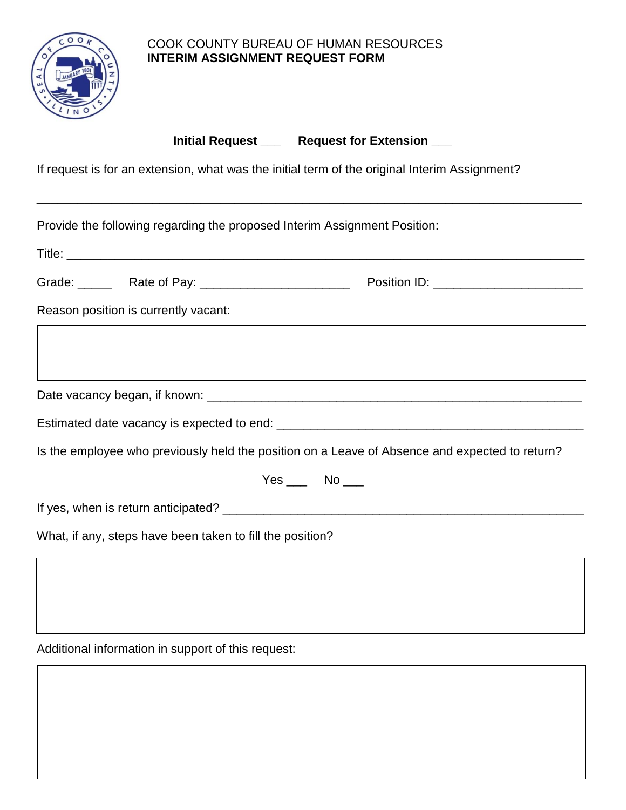

## COOK COUNTY BUREAU OF HUMAN RESOURCES **INTERIM ASSIGNMENT REQUEST FORM**

**Initial Request Late Request for Extension Late 1** 

\_\_\_\_\_\_\_\_\_\_\_\_\_\_\_\_\_\_\_\_\_\_\_\_\_\_\_\_\_\_\_\_\_\_\_\_\_\_\_\_\_\_\_\_\_\_\_\_\_\_\_\_\_\_\_\_\_\_\_\_\_\_\_\_\_\_\_\_\_\_\_\_\_\_\_\_\_\_\_\_

If request is for an extension, what was the initial term of the original Interim Assignment?

Provide the following regarding the proposed Interim Assignment Position: Title: Grade: \_\_\_\_\_\_ Rate of Pay: \_\_\_\_\_\_\_\_\_\_\_\_\_\_\_\_\_\_\_\_\_\_\_\_\_\_\_\_ Position ID: \_\_\_\_\_\_\_\_\_\_\_\_\_\_\_\_\_\_\_\_\_\_\_\_\_\_\_\_\_\_ Reason position is currently vacant: Date vacancy began, if known: \_\_\_\_\_\_\_\_\_\_\_\_\_\_\_\_\_\_\_\_\_\_\_\_\_\_\_\_\_\_\_\_\_\_\_\_\_\_\_\_\_\_\_\_\_\_\_\_\_\_\_\_\_\_\_ Estimated date vacancy is expected to end: \_\_\_\_\_\_\_\_\_\_\_\_\_\_\_\_\_\_\_\_\_\_\_\_\_\_\_\_\_\_\_\_\_\_\_\_\_\_\_\_\_\_\_\_\_ Is the employee who previously held the position on a Leave of Absence and expected to return?  $Yes$  No \_\_\_ If yes, when is return anticipated? \_\_\_\_\_\_\_\_\_\_\_\_\_\_\_\_\_\_\_\_\_\_\_\_\_\_\_\_\_\_\_\_\_\_\_\_\_\_\_\_\_\_\_\_\_\_\_\_\_\_\_\_\_ What, if any, steps have been taken to fill the position?

Additional information in support of this request: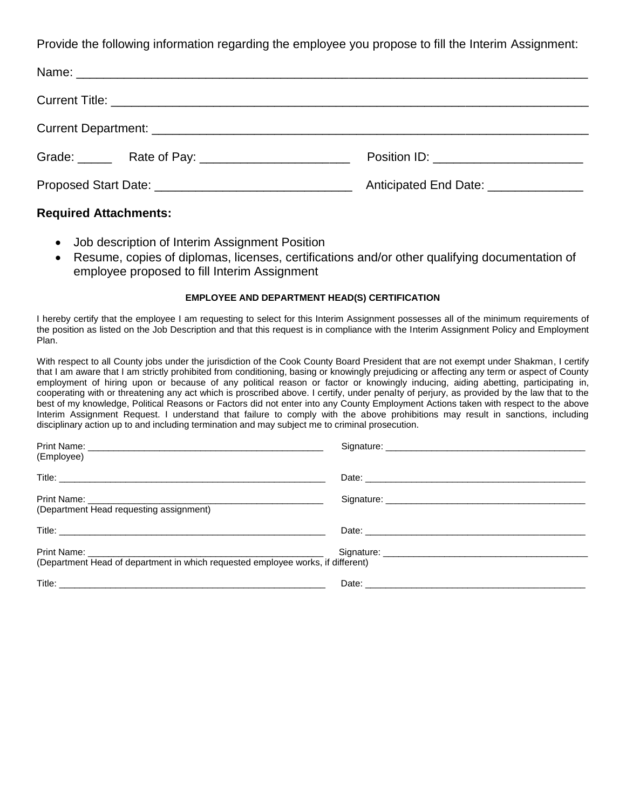Provide the following information regarding the employee you propose to fill the Interim Assignment:

| Position ID: ___________________________          |
|---------------------------------------------------|
| Anticipated End Date: 2008. Anticipated End Date: |

## **Required Attachments:**

- Job description of Interim Assignment Position
- Resume, copies of diplomas, licenses, certifications and/or other qualifying documentation of employee proposed to fill Interim Assignment

## **EMPLOYEE AND DEPARTMENT HEAD(S) CERTIFICATION**

I hereby certify that the employee I am requesting to select for this Interim Assignment possesses all of the minimum requirements of the position as listed on the Job Description and that this request is in compliance with the Interim Assignment Policy and Employment Plan.

With respect to all County jobs under the jurisdiction of the Cook County Board President that are not exempt under Shakman, I certify that I am aware that I am strictly prohibited from conditioning, basing or knowingly prejudicing or affecting any term or aspect of County employment of hiring upon or because of any political reason or factor or knowingly inducing, aiding abetting, participating in, cooperating with or threatening any act which is proscribed above. I certify, under penalty of perjury, as provided by the law that to the best of my knowledge, Political Reasons or Factors did not enter into any County Employment Actions taken with respect to the above Interim Assignment Request. I understand that failure to comply with the above prohibitions may result in sanctions, including disciplinary action up to and including termination and may subject me to criminal prosecution.

| (Employee)                                                                      |  |
|---------------------------------------------------------------------------------|--|
|                                                                                 |  |
| (Department Head requesting assignment)                                         |  |
|                                                                                 |  |
| (Department Head of department in which requested employee works, if different) |  |
|                                                                                 |  |